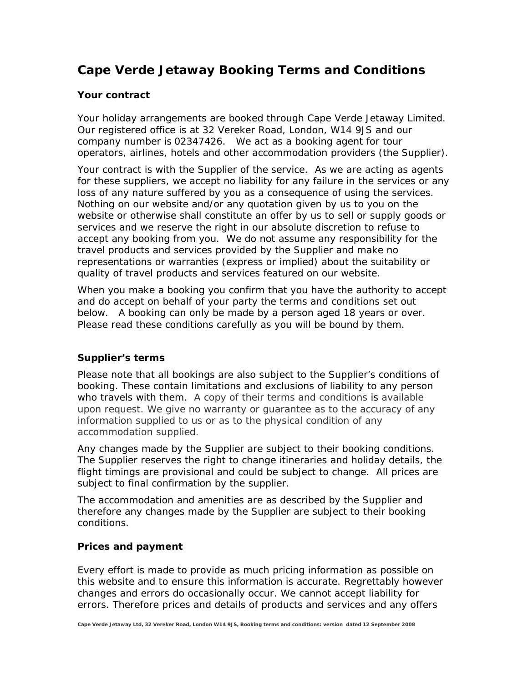# **Cape Verde Jetaway Booking Terms and Conditions**

## **Your contract**

Your holiday arrangements are booked through Cape Verde Jetaway Limited. Our registered office is at 32 Vereker Road, London, W14 9JS and our company number is 02347426. We act as a booking agent for tour operators, airlines, hotels and other accommodation providers (the Supplier).

Your contract is with the Supplier of the service. As we are acting as agents for these suppliers, we accept no liability for any failure in the services or any loss of any nature suffered by you as a consequence of using the services. Nothing on our website and/or any quotation given by us to you on the website or otherwise shall constitute an offer by us to sell or supply goods or services and we reserve the right in our absolute discretion to refuse to accept any booking from you. We do not assume any responsibility for the travel products and services provided by the Supplier and make no representations or warranties (express or implied) about the suitability or quality of travel products and services featured on our website.

When you make a booking you confirm that you have the authority to accept and do accept on behalf of your party the terms and conditions set out below. A booking can only be made by a person aged 18 years or over. Please read these conditions carefully as you will be bound by them.

# **Supplier's terms**

Please note that all bookings are also subject to the Supplier's conditions of booking. These contain limitations and exclusions of liability to any person who travels with them. A copy of their terms and conditions is available upon request. We give no warranty or guarantee as to the accuracy of any information supplied to us or as to the physical condition of any accommodation supplied.

Any changes made by the Supplier are subject to their booking conditions. The Supplier reserves the right to change itineraries and holiday details, the flight timings are provisional and could be subject to change. All prices are subject to final confirmation by the supplier.

The accommodation and amenities are as described by the Supplier and therefore any changes made by the Supplier are subject to their booking conditions.

### **Prices and payment**

Every effort is made to provide as much pricing information as possible on this website and to ensure this information is accurate. Regrettably however changes and errors do occasionally occur. We cannot accept liability for errors. Therefore prices and details of products and services and any offers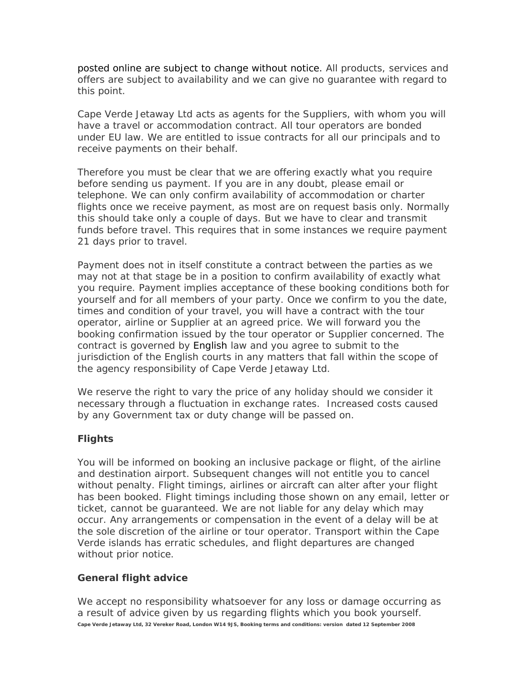posted online are subject to change without notice. All products, services and offers are subject to availability and we can give no guarantee with regard to this point.

Cape Verde Jetaway Ltd acts as agents for the Suppliers, with whom you will have a travel or accommodation contract. All tour operators are bonded under EU law. We are entitled to issue contracts for all our principals and to receive payments on their behalf.

Therefore you must be clear that we are offering exactly what you require before sending us payment. If you are in any doubt, please email or telephone. We can only confirm availability of accommodation or charter flights once we receive payment, as most are on request basis only. Normally this should take only a couple of days. But we have to clear and transmit funds before travel. This requires that in some instances we require payment 21 days prior to travel.

Payment does not in itself constitute a contract between the parties as we may not at that stage be in a position to confirm availability of exactly what you require. Payment implies acceptance of these booking conditions both for yourself and for all members of your party. Once we confirm to you the date, times and condition of your travel, you will have a contract with the tour operator, airline or Supplier at an agreed price. We will forward you the booking confirmation issued by the tour operator or Supplier concerned. The contract is governed by English law and you agree to submit to the jurisdiction of the English courts in any matters that fall within the scope of the agency responsibility of Cape Verde Jetaway Ltd.

We reserve the right to vary the price of any holiday should we consider it necessary through a fluctuation in exchange rates. Increased costs caused by any Government tax or duty change will be passed on.

# **Flights**

You will be informed on booking an inclusive package or flight, of the airline and destination airport. Subsequent changes will not entitle you to cancel without penalty. Flight timings, airlines or aircraft can alter after your flight has been booked. Flight timings including those shown on any email, letter or ticket, cannot be guaranteed. We are not liable for any delay which may occur. Any arrangements or compensation in the event of a delay will be at the sole discretion of the airline or tour operator. Transport within the Cape Verde islands has erratic schedules, and flight departures are changed without prior notice.

# **General flight advice**

We accept no responsibility whatsoever for any loss or damage occurring as a result of advice given by us regarding flights which you book yourself. **Cape Verde Jetaway Ltd, 32 Vereker Road, London W14 9JS, Booking terms and conditions: version dated 12 September 2008**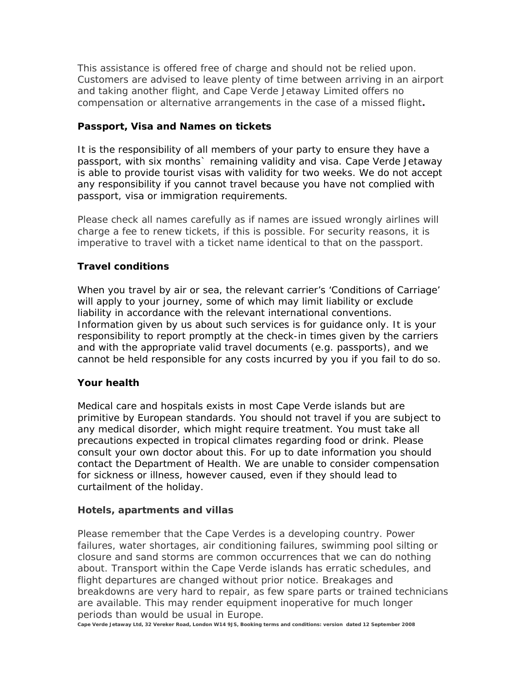This assistance is offered free of charge and should not be relied upon. Customers are advised to leave plenty of time between arriving in an airport and taking another flight, and Cape Verde Jetaway Limited offers no compensation or alternative arrangements in the case of a missed flight**.** 

## **Passport, Visa and Names on tickets**

It is the responsibility of all members of your party to ensure they have a passport, with six months` remaining validity and visa. Cape Verde Jetaway is able to provide tourist visas with validity for two weeks. We do not accept any responsibility if you cannot travel because you have not complied with passport, visa or immigration requirements.

Please check all names carefully as if names are issued wrongly airlines will charge a fee to renew tickets, if this is possible. For security reasons, it is imperative to travel with a ticket name identical to that on the passport.

# **Travel conditions**

When you travel by air or sea, the relevant carrier's 'Conditions of Carriage' will apply to your journey, some of which may limit liability or exclude liability in accordance with the relevant international conventions. Information given by us about such services is for guidance only. It is your responsibility to report promptly at the check-in times given by the carriers and with the appropriate valid travel documents (e.g. passports), and we cannot be held responsible for any costs incurred by you if you fail to do so.

### **Your health**

Medical care and hospitals exists in most Cape Verde islands but are primitive by European standards. You should not travel if you are subject to any medical disorder, which might require treatment. You must take all precautions expected in tropical climates regarding food or drink. Please consult your own doctor about this. For up to date information you should contact the Department of Health. We are unable to consider compensation for sickness or illness, however caused, even if they should lead to curtailment of the holiday.

### **Hotels, apartments and villas**

Please remember that the Cape Verdes is a developing country. Power failures, water shortages, air conditioning failures, swimming pool silting or closure and sand storms are common occurrences that we can do nothing about. Transport within the Cape Verde islands has erratic schedules, and flight departures are changed without prior notice. Breakages and breakdowns are very hard to repair, as few spare parts or trained technicians are available. This may render equipment inoperative for much longer periods than would be usual in Europe.

**Cape Verde Jetaway Ltd, 32 Vereker Road, London W14 9JS, Booking terms and conditions: version dated 12 September 2008**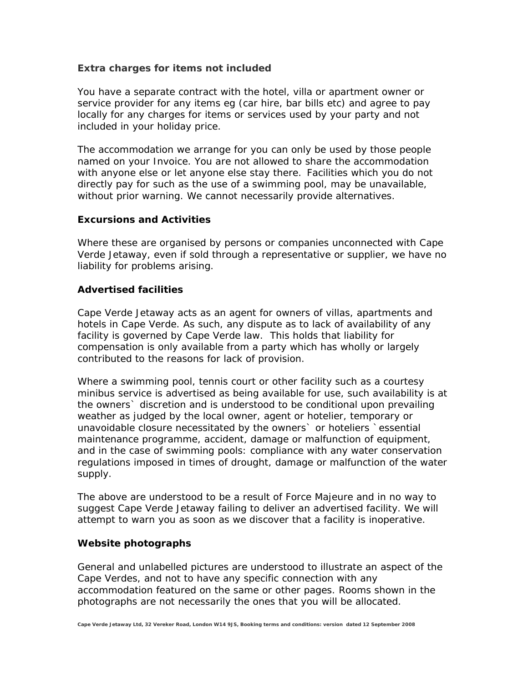### **Extra charges for items not included**

You have a separate contract with the hotel, villa or apartment owner or service provider for any items eg (car hire, bar bills etc) and agree to pay locally for any charges for items or services used by your party and not included in your holiday price.

The accommodation we arrange for you can only be used by those people named on your Invoice. You are not allowed to share the accommodation with anyone else or let anyone else stay there. Facilities which you do not directly pay for such as the use of a swimming pool, may be unavailable, without prior warning. We cannot necessarily provide alternatives.

#### **Excursions and Activities**

Where these are organised by persons or companies unconnected with Cape Verde Jetaway, even if sold through a representative or supplier, we have no liability for problems arising.

#### **Advertised facilities**

Cape Verde Jetaway acts as an agent for owners of villas, apartments and hotels in Cape Verde. As such, any dispute as to lack of availability of any facility is governed by Cape Verde law. This holds that liability for compensation is only available from a party which has wholly or largely contributed to the reasons for lack of provision.

Where a swimming pool, tennis court or other facility such as a courtesy minibus service is advertised as being available for use, such availability is at the owners` discretion and is understood to be conditional upon prevailing weather as judged by the local owner, agent or hotelier, temporary or unavoidable closure necessitated by the owners` or hoteliers `essential maintenance programme, accident, damage or malfunction of equipment, and in the case of swimming pools: compliance with any water conservation regulations imposed in times of drought, damage or malfunction of the water supply.

The above are understood to be a result of Force Majeure and in no way to suggest Cape Verde Jetaway failing to deliver an advertised facility. We will attempt to warn you as soon as we discover that a facility is inoperative.

#### **Website photographs**

General and unlabelled pictures are understood to illustrate an aspect of the Cape Verdes, and not to have any specific connection with any accommodation featured on the same or other pages. Rooms shown in the photographs are not necessarily the ones that you will be allocated.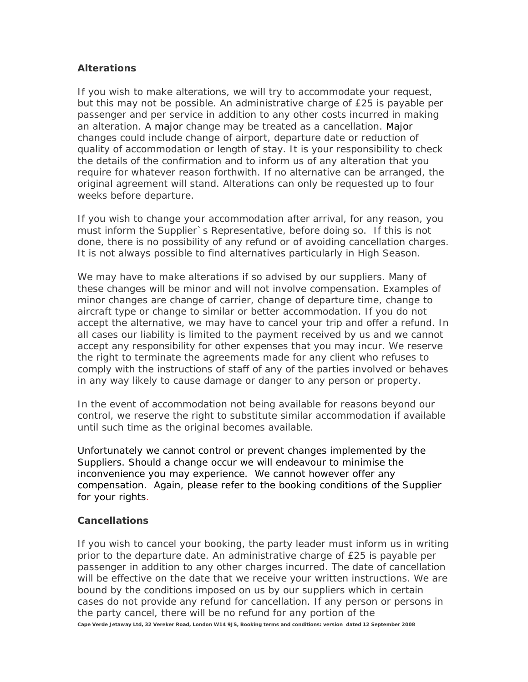## **Alterations**

If you wish to make alterations, we will try to accommodate your request, but this may not be possible. An administrative charge of £25 is payable per passenger and per service in addition to any other costs incurred in making an alteration. A major change may be treated as a cancellation. Major changes could include change of airport, departure date or reduction of quality of accommodation or length of stay. It is your responsibility to check the details of the confirmation and to inform us of any alteration that you require for whatever reason forthwith. If no alternative can be arranged, the original agreement will stand. Alterations can only be requested up to four weeks before departure.

If you wish to change your accommodation after arrival, for any reason, you must inform the Supplier`s Representative, before doing so. If this is not done, there is no possibility of any refund or of avoiding cancellation charges. It is not always possible to find alternatives particularly in High Season.

We may have to make alterations if so advised by our suppliers. Many of these changes will be minor and will not involve compensation. Examples of minor changes are change of carrier, change of departure time, change to aircraft type or change to similar or better accommodation. If you do not accept the alternative, we may have to cancel your trip and offer a refund. In all cases our liability is limited to the payment received by us and we cannot accept any responsibility for other expenses that you may incur. We reserve the right to terminate the agreements made for any client who refuses to comply with the instructions of staff of any of the parties involved or behaves in any way likely to cause damage or danger to any person or property.

In the event of accommodation not being available for reasons beyond our control, we reserve the right to substitute similar accommodation if available until such time as the original becomes available.

Unfortunately we cannot control or prevent changes implemented by the Suppliers. Should a change occur we will endeavour to minimise the inconvenience you may experience. We cannot however offer any compensation. Again, please refer to the booking conditions of the Supplier for your rights.

# **Cancellations**

If you wish to cancel your booking, the party leader must inform us in writing prior to the departure date. An administrative charge of £25 is payable per passenger in addition to any other charges incurred. The date of cancellation will be effective on the date that we receive your written instructions. We are bound by the conditions imposed on us by our suppliers which in certain cases do not provide any refund for cancellation. If any person or persons in the party cancel, there will be no refund for any portion of the **Cape Verde Jetaway Ltd, 32 Vereker Road, London W14 9JS, Booking terms and conditions: version dated 12 September 2008**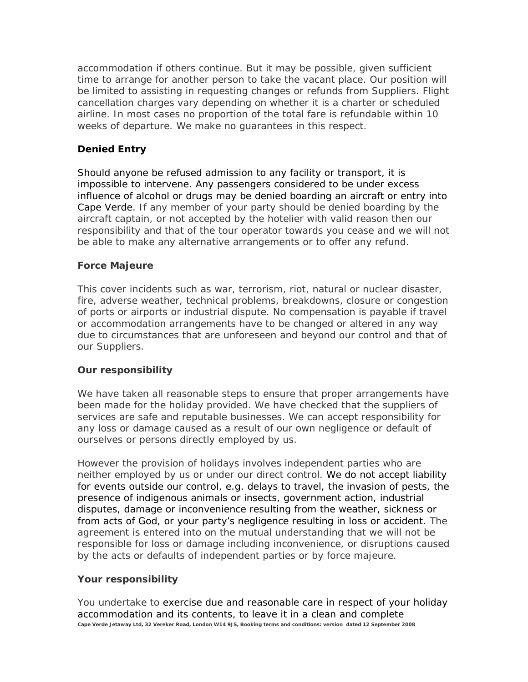accommodation if others continue. But it may be possible, given sufficient time to arrange for another person to take the vacant place. Our position will be limited to assisting in requesting changes or refunds from Suppliers. Flight cancellation charges vary depending on whether it is a charter or scheduled airline. In most cases no proportion of the total fare is refundable within 10 weeks of departure. We make no guarantees in this respect.

# **Denied Entry**

Should anyone be refused admission to any facility or transport, it is impossible to intervene. Any passengers considered to be under excess influence of alcohol or drugs may be denied boarding an aircraft or entry into Cape Verde. If any member of your party should be denied boarding by the aircraft captain, or not accepted by the hotelier with valid reason then our responsibility and that of the tour operator towards you cease and we will not be able to make any alternative arrangements or to offer any refund.

## **Force Majeure**

This cover incidents such as war, terrorism, riot, natural or nuclear disaster, fire, adverse weather, technical problems, breakdowns, closure or congestion of ports or airports or industrial dispute. No compensation is payable if travel or accommodation arrangements have to be changed or altered in any way due to circumstances that are unforeseen and beyond our control and that of our Suppliers.

### **Our responsibility**

We have taken all reasonable steps to ensure that proper arrangements have been made for the holiday provided. We have checked that the suppliers of services are safe and reputable businesses. We can accept responsibility for any loss or damage caused as a result of our own negligence or default of ourselves or persons directly employed by us.

However the provision of holidays involves independent parties who are neither employed by us or under our direct control. We do not accept liability for events outside our control, e.g. delays to travel, the invasion of pests, the presence of indigenous animals or insects, government action, industrial disputes, damage or inconvenience resulting from the weather, sickness or from acts of God, or your party's negligence resulting in loss or accident. The agreement is entered into on the mutual understanding that we will not be responsible for loss or damage including inconvenience, or disruptions caused by the acts or defaults of independent parties or by force majeure.

# **Your responsibility**

You undertake to exercise due and reasonable care in respect of your holiday accommodation and its contents, to leave it in a clean and complete **Cape Verde Jetaway Ltd, 32 Vereker Road, London W14 9JS, Booking terms and conditions: version dated 12 September 2008**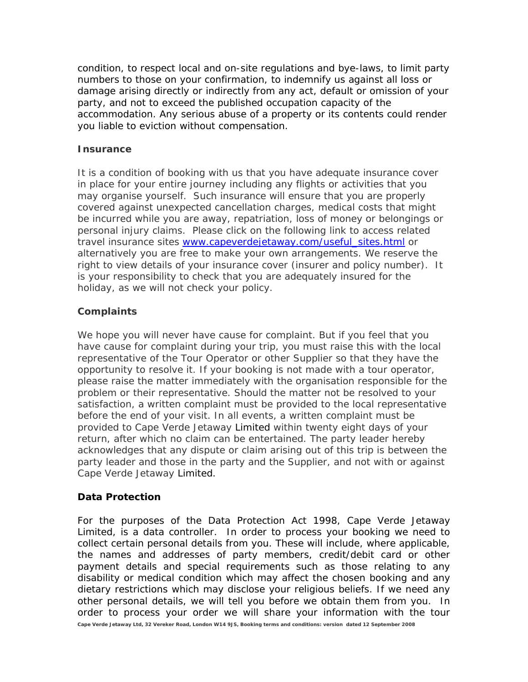condition, to respect local and on-site regulations and bye-laws, to limit party numbers to those on your confirmation, to indemnify us against all loss or damage arising directly or indirectly from any act, default or omission of your party, and not to exceed the published occupation capacity of the accommodation. Any serious abuse of a property or its contents could render you liable to eviction without compensation.

### **Insurance**

It is a condition of booking with us that you have adequate insurance cover in place for your entire journey including any flights or activities that you may organise yourself. Such insurance will ensure that you are properly covered against unexpected cancellation charges, medical costs that might be incurred while you are away, repatriation, loss of money or belongings or personal injury claims. Please click on the following link to access related travel insurance sites [www.capeverdejetaway.com/useful\\_sites.html](http://www.capeverdejetaway.com/useful_sites.html) or alternatively you are free to make your own arrangements. We reserve the right to view details of your insurance cover (insurer and policy number). It is your responsibility to check that you are adequately insured for the holiday, as we will not check your policy.

# **Complaints**

We hope you will never have cause for complaint. But if you feel that you have cause for complaint during your trip, you must raise this with the local representative of the Tour Operator or other Supplier so that they have the opportunity to resolve it. If your booking is not made with a tour operator, please raise the matter immediately with the organisation responsible for the problem or their representative. Should the matter not be resolved to your satisfaction, a written complaint must be provided to the local representative before the end of your visit. In all events, a written complaint must be provided to Cape Verde Jetaway Limited within twenty eight days of your return, after which no claim can be entertained. The party leader hereby acknowledges that any dispute or claim arising out of this trip is between the party leader and those in the party and the Supplier, and not with or against Cape Verde Jetaway Limited.

# **Data Protection**

For the purposes of the Data Protection Act 1998, Cape Verde Jetaway Limited, is a data controller. In order to process your booking we need to collect certain personal details from you. These will include, where applicable, the names and addresses of party members, credit/debit card or other payment details and special requirements such as those relating to any disability or medical condition which may affect the chosen booking and any dietary restrictions which may disclose your religious beliefs. If we need any other personal details, we will tell you before we obtain them from you. In order to process your order we will share your information with the tour **Cape Verde Jetaway Ltd, 32 Vereker Road, London W14 9JS, Booking terms and conditions: version dated 12 September 2008**